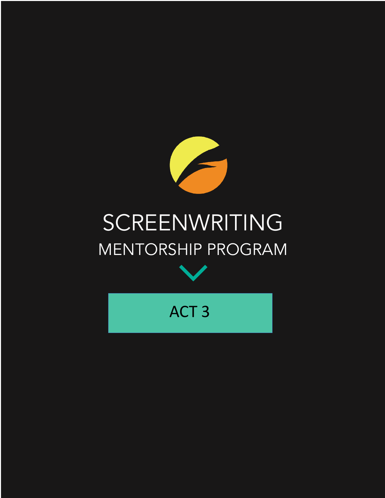

# SCREENWRITING MENTORSHIP PROGRAM



ACT 3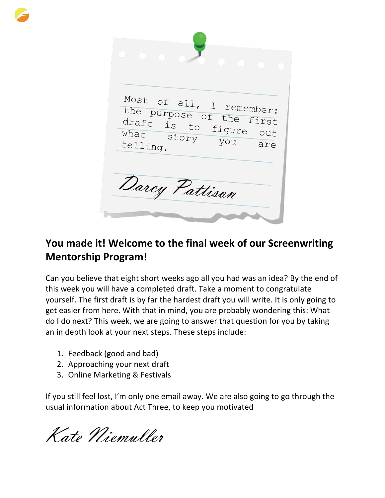Most of all, I remember:<br>the purpose a remember: the purpose of the first<br>draft is 10 the first draft is to figure out story you are telling. Darcy Pattison

# **You made it! Welcome to the final week of our Screenwriting Mentorship Program!**

Can you believe that eight short weeks ago all you had was an idea? By the end of this week you will have a completed draft. Take a moment to congratulate yourself. The first draft is by far the hardest draft you will write. It is only going to get easier from here. With that in mind, you are probably wondering this: What do I do next? This week, we are going to answer that question for you by taking an in depth look at your next steps. These steps include:

- 1. Feedback (good and bad)
- 2. Approaching your next draft
- 3. Online Marketing & Festivals

If you still feel lost, I'm only one email away. We are also going to go through the usual information about Act Three, to keep you motivated

Kate Niemuller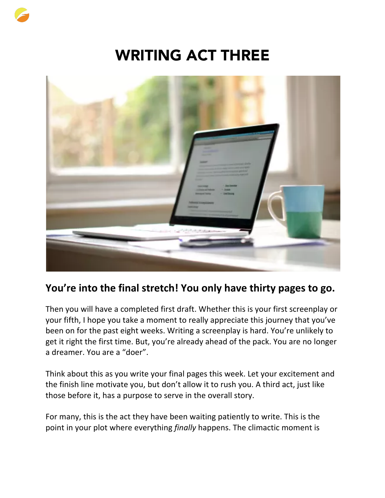# WRITING ACT THREE



# **You're into the final stretch! You only have thirty pages to go.**

Then you will have a completed first draft. Whether this is your first screenplay or your fifth, I hope you take a moment to really appreciate this journey that you've been on for the past eight weeks. Writing a screenplay is hard. You're unlikely to get it right the first time. But, you're already ahead of the pack. You are no longer a dreamer. You are a "doer".

Think about this as you write your final pages this week. Let your excitement and the finish line motivate you, but don't allow it to rush you. A third act, just like those before it, has a purpose to serve in the overall story.

For many, this is the act they have been waiting patiently to write. This is the point in your plot where everything *finally* happens. The climactic moment is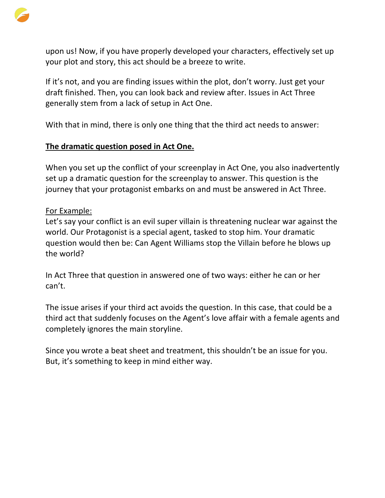

upon us! Now, if you have properly developed your characters, effectively set up your plot and story, this act should be a breeze to write.

If it's not, and you are finding issues within the plot, don't worry. Just get your draft finished. Then, you can look back and review after. Issues in Act Three generally stem from a lack of setup in Act One.

With that in mind, there is only one thing that the third act needs to answer:

#### **The dramatic question posed in Act One.**

When you set up the conflict of your screenplay in Act One, you also inadvertently set up a dramatic question for the screenplay to answer. This question is the journey that your protagonist embarks on and must be answered in Act Three.

#### For Example:

Let's say your conflict is an evil super villain is threatening nuclear war against the world. Our Protagonist is a special agent, tasked to stop him. Your dramatic question would then be: Can Agent Williams stop the Villain before he blows up the world?

In Act Three that question in answered one of two ways: either he can or her can't.

The issue arises if your third act avoids the question. In this case, that could be a third act that suddenly focuses on the Agent's love affair with a female agents and completely ignores the main storyline.

Since you wrote a beat sheet and treatment, this shouldn't be an issue for you. But, it's something to keep in mind either way.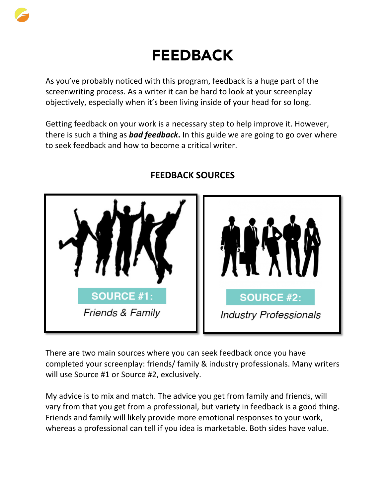

# FEEDBACK

As you've probably noticed with this program, feedback is a huge part of the screenwriting process. As a writer it can be hard to look at your screenplay objectively, especially when it's been living inside of your head for so long.

Getting feedback on your work is a necessary step to help improve it. However, there is such a thing as *bad feedback***.** In this guide we are going to go over where to seek feedback and how to become a critical writer.



# **FEEDBACK SOURCES**

There are two main sources where you can seek feedback once you have completed your screenplay: friends/ family & industry professionals. Many writers will use Source #1 or Source #2, exclusively.

My advice is to mix and match. The advice you get from family and friends, will vary from that you get from a professional, but variety in feedback is a good thing. Friends and family will likely provide more emotional responses to your work, whereas a professional can tell if you idea is marketable. Both sides have value.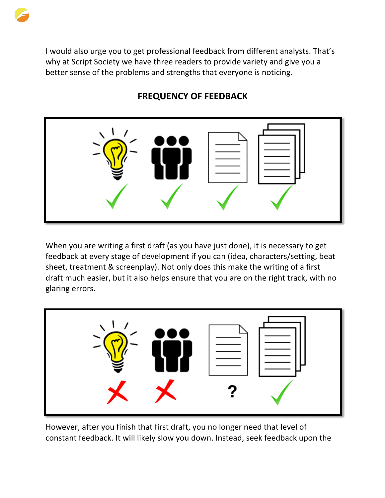

I would also urge you to get professional feedback from different analysts. That's why at Script Society we have three readers to provide variety and give you a better sense of the problems and strengths that everyone is noticing.

# **FREQUENCY OF FEEDBACK**



When you are writing a first draft (as you have just done), it is necessary to get feedback at every stage of development if you can (idea, characters/setting, beat sheet, treatment & screenplay). Not only does this make the writing of a first draft much easier, but it also helps ensure that you are on the right track, with no glaring errors.



However, after you finish that first draft, you no longer need that level of constant feedback. It will likely slow you down. Instead, seek feedback upon the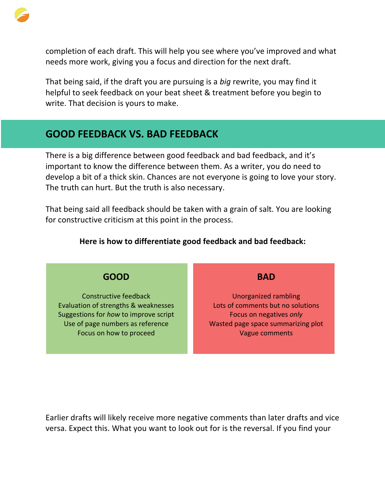

completion of each draft. This will help you see where you've improved and what needs more work, giving you a focus and direction for the next draft.

That being said, if the draft you are pursuing is a *big* rewrite, you may find it helpful to seek feedback on your beat sheet & treatment before you begin to write. That decision is yours to make.

# **GOOD FEEDBACK VS. BAD FEEDBACK**

There is a big difference between good feedback and bad feedback, and it's important to know the difference between them. As a writer, you do need to develop a bit of a thick skin. Chances are not everyone is going to love your story. The truth can hurt. But the truth is also necessary.

That being said all feedback should be taken with a grain of salt. You are looking for constructive criticism at this point in the process.

#### **Here is how to differentiate good feedback and bad feedback:**

### **GOOD**

Constructive feedback Evaluation of strengths & weaknesses Suggestions for *how* to improve script Use of page numbers as reference Focus on how to proceed

**BAD**

Unorganized rambling Lots of comments but no solutions Focus on negatives *only* Wasted page space summarizing plot Vague comments

Earlier drafts will likely receive more negative comments than later drafts and vice versa. Expect this. What you want to look out for is the reversal. If you find your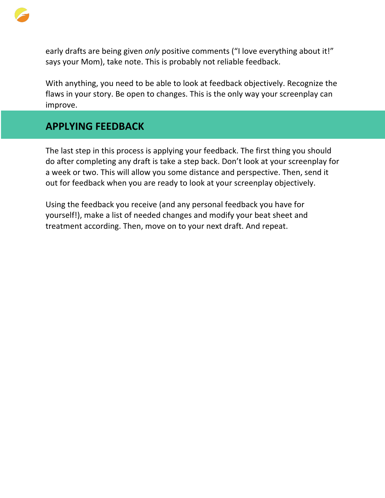

early drafts are being given *only* positive comments ("I love everything about it!" says your Mom), take note. This is probably not reliable feedback.

With anything, you need to be able to look at feedback objectively. Recognize the flaws in your story. Be open to changes. This is the only way your screenplay can improve.

# **APPLYING FEEDBACK**

The last step in this process is applying your feedback. The first thing you should do after completing any draft is take a step back. Don't look at your screenplay for a week or two. This will allow you some distance and perspective. Then, send it out for feedback when you are ready to look at your screenplay objectively.

Using the feedback you receive (and any personal feedback you have for yourself!), make a list of needed changes and modify your beat sheet and treatment according. Then, move on to your next draft. And repeat.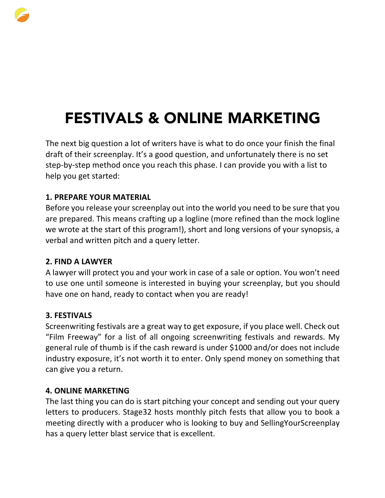

The next big question a lot of writers have is what to do once your finish the final draft of their screenplay. It's a good question, and unfortunately there is no set step-by-step method once you reach this phase. I can provide you with a list to help you get started:

### **1. PREPARE YOUR MATERIAL**

Before you release your screenplay out into the world you need to be sure that you are prepared. This means crafting up a logline (more refined than the mock logline we wrote at the start of this program!), short and long versions of your synopsis, a verbal and written pitch and a query letter.

#### **2. FIND A LAWYER**

A lawyer will protect you and your work in case of a sale or option. You won't need to use one until someone is interested in buying your screenplay, but you should have one on hand, ready to contact when you are ready!

### **3. FESTIVALS**

Screenwriting festivals are a great way to get exposure, if you place well. Check out "Film Freeway" for a list of all ongoing screenwriting festivals and rewards. My general rule of thumb is if the cash reward is under \$1000 and/or does not include industry exposure, it's not worth it to enter. Only spend money on something that can give you a return.

#### **4. ONLINE MARKETING**

The last thing you can do is start pitching your concept and sending out your query letters to producers. Stage32 hosts monthly pitch fests that allow you to book a meeting directly with a producer who is looking to buy and SellingYourScreenplay has a query letter blast service that is excellent.